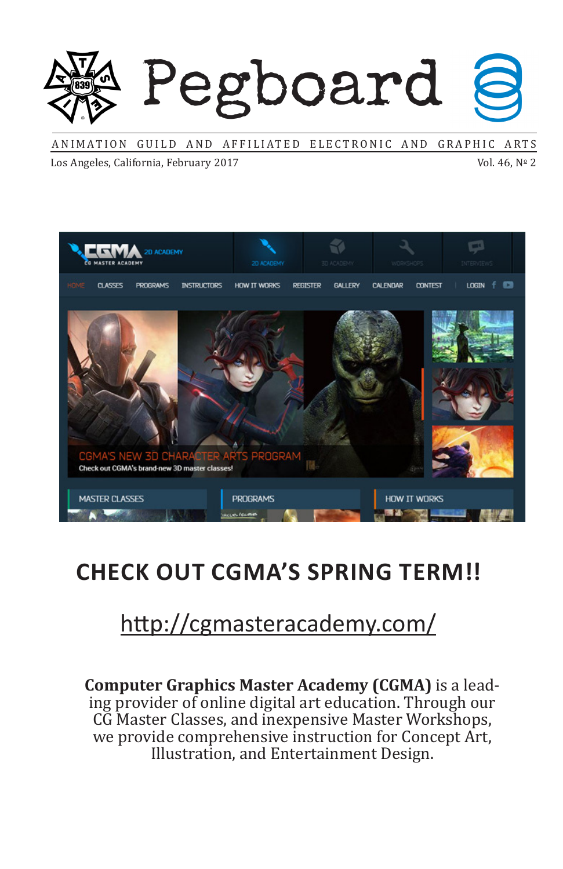# Pegboard

ANIMATION GUILD AND AFFILIATED ELECTRONIC AND GRAPHIC ARTS

Los Angeles, California, February 2017

Vol. 46, Nº 2



# **CHECK OUT CGMA'S SPRING TERM!!**

# http://cgmasteracademy.com/

**Computer Graphics Master Academy (CGMA)** is a lead- ing provider of online digital art education. Through our CG Master Classes, and inexpensive Master Workshops, we provide comprehensive instruction for Concept Art, Illustration, and Entertainment Design.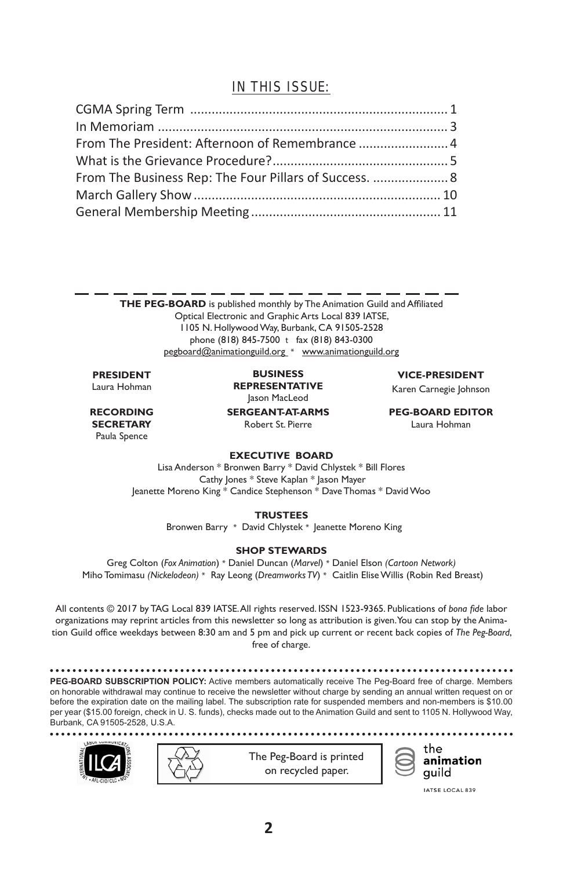#### IN THIS ISSUE:

| From The Business Rep: The Four Pillars of Success.  8 |  |
|--------------------------------------------------------|--|
|                                                        |  |
|                                                        |  |

**THE PEG-BOARD** is published monthly by The Animation Guild and Affiliated Optical Electronic and Graphic Arts Local 839 IATSE, 1105 N. HollywoodWay, Burbank, CA 91505-2528 phone (818) 845-7500 t fax (818) 843-0300 pegboard@animationguild.org \* www.animationguild.org

#### **PRESIDENT** Laura Hohman

**RECORDING SECRETARY** Paula Spence

**SERGEANT-AT-ARMS** Robert St. Pierre **BUSINESS REPRESENTATIVE** Jason MacLeod

**VICE-PRESIDENT**

Karen Carnegie Johnson

**PEG-BOARD EDITOR**

Laura Hohman

#### **EXECUTIVE BOARD**

Lisa Anderson \* Bronwen Barry \* David Chlystek \* Bill Flores Cathy Jones \* Steve Kaplan \* Jason Mayer Jeanette Moreno King \* Candice Stephenson \* Dave Thomas \* David Woo

**TRUSTEES**

Bronwen Barry \* David Chlystek \* Jeanette Moreno King

#### **SHOP STEWARDS**

Greg Colton (*Fox Animation*) \* Daniel Duncan (*Marvel*) \* Daniel Elson *(Cartoon Network)*  Miho Tomimasu *(Nickelodeon)* \* Ray Leong (*Dreamworks TV*) \* Caitlin Elise Willis (Robin Red Breast)

All contents © 2017 by TAG Local 839 IATSE.All rights reserved. ISSN 1523-9365. Publications of *bona fide* labor organizations may reprint articles from this newsletter so long as attribution is given.You can stop by the Animation Guild office weekdays between 8:30 am and 5 pm and pick up current or recent back copies of *The Peg-Board*, free of charge.

**PEG-BOARD SUBSCRIPTION POLICY:** Active members automatically receive The Peg-Board free of charge. Members on honorable withdrawal may continue to receive the newsletter without charge by sending an annual written request on or before the expiration date on the mailing label. The subscription rate for suspended members and non-members is \$10.00 per year (\$15.00 foreign, check in U. S. funds), checks made out to the Animation Guild and sent to 1105 N. Hollywood Way, Burbank, CA 91505-2528, U.S.A.







IATSE LOCAL 839

 $1.1.1.1$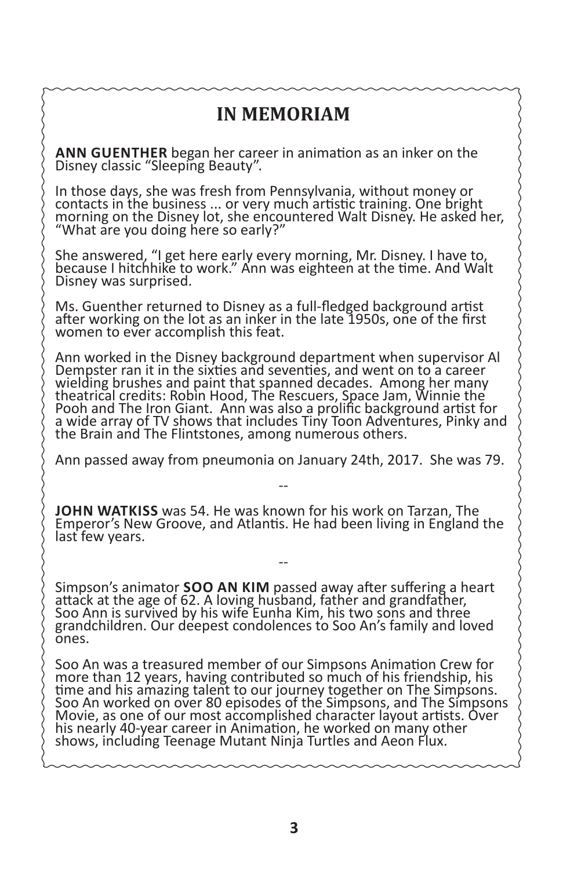#### **IN MEMORIAM**

**ANN GUENTHER** began her career in animation as an inker on the Disney classic "Sleeping Beauty".

In those days, she was fresh from Pennsylvania, without money or contacts in the business ... or very much artistic training. One bright morning on the Disney lot, she encountered Walt Disney. He asked her, "What are you doing here so early?"

She answered, "I get here early every morning, Mr. Disney. I have to, because I hitchhike to work." Ann was eighteen at the time. And Walt Disney was surprised.

Ms. Guenther returned to Disney as a full-fledged background artist after working on the lot as an inker in the late 1950s, one of the first women to ever accomplish this feat.

Ann worked in the Disney background department when supervisor Al Dempster ran it in the sixties and seventies, and went on to a career wielding brushes and paint that spanned decades. Among her many theatrical credits: Robin Hood, The Rescuers, Space Jam, Winnie the Pooh and The Iron Giant. Ann was also a prolific background artist for a wide array of TV shows that includes Tiny Toon Adventures, Pinky and the Brain and The Flintstones, among numerous others.

Ann passed away from pneumonia on January 24th, 2017. She was 79. --

**JOHN WATKISS** was 54. He was known for his work on Tarzan, The<br>Emperor's New Groove, and Atlantis. He had been living in England the last few years.

--

Simpson's animator **SOO AN KIM** passed away after suffering a heart attack at the age of 62. A loving husband, father and grandfather, Soo Ann is survived by his wife Eunha Kim, his two sons and three grandchildren. Our deepest condolences to Soo An's family and loved ones.

Soo An was a treasured member of our Simpsons Animation Crew for more than 12 years, having contributed so much of his friendship, his time and his amazing talent to our journey together on The Simpsons. Soo An worked on over 80 episodes of the Simpsons, and The Simpsons Movie, as one of our most accomplished character layout artists. Over his nearly 40-year career in Animation, he worked on many other shows, including Teenage Mutant Ninja Turtles and Aeon Flux.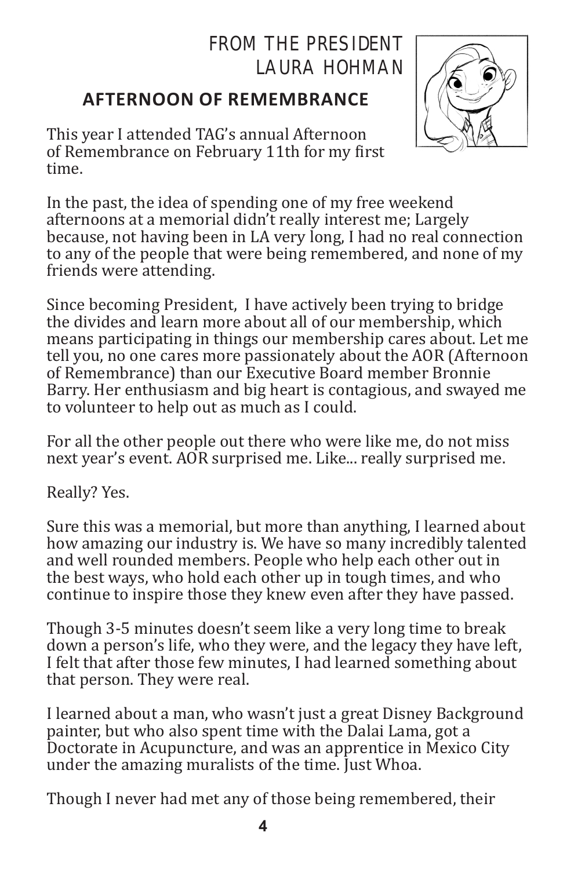#### FROM THE PRESIDENT LAURA HOHMAN

#### **AFTERNOON OF REMEMBRANCE**

This year I attended TAG's annual Afternoon of Remembrance on February 11th for my first time.

In the past, the idea of spending one of my free weekend afternoons at a memorial didn't really interest me; Largely because, not having been in LA very long, I had no real connection to any of the people that were being remembered, and none of my friends were attending.

Since becoming President, I have actively been trying to bridge the divides and learn more about all of our membership, which means participating in things our membership cares about. Let me tell you, no one cares more passionately about the AOR (Afternoon of Remembrance) than our Executive Board member Bronnie Barry. Her enthusiasm and big heart is contagious, and swayed me to volunteer to help out as much as I could.

For all the other people out there who were like me, do not miss next year's event. AOR surprised me. Like... really surprised me.

Really? Yes.

Sure this was a memorial, but more than anything, I learned about how amazing our industry is. We have so many incredibly talented and well rounded members. People who help each other out in the best ways, who hold each other up in tough times, and who continue to inspire those they knew even after they have passed.

Though 3-5 minutes doesn't seem like a very long time to break down a person's life, who they were, and the legacy they have left, I felt that after those few minutes, I had learned something about that person. They were real.

I learned about a man, who wasn't just a great Disney Background painter, but who also spent time with the Dalai Lama, got a Doctorate in Acupuncture, and was an apprentice in Mexico City under the amazing muralists of the time. Just Whoa.

Though I never had met any of those being remembered, their

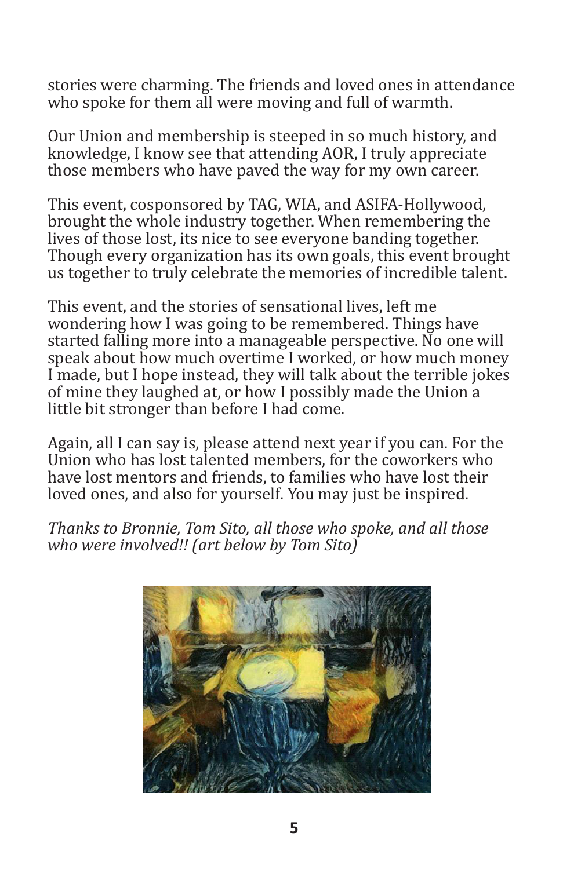stories were charming. The friends and loved ones in attendance who spoke for them all were moving and full of warmth.

Our Union and membership is steeped in so much history, and knowledge, I know see that attending AOR, I truly appreciate those members who have paved the way for my own career.

This event, cosponsored by TAG, WIA, and ASIFA-Hollywood, brought the whole industry together. When remembering the lives of those lost, its nice to see everyone banding together. Though every organization has its own goals, this event brought us together to truly celebrate the memories of incredible talent.

This event, and the stories of sensational lives, left me wondering how I was going to be remembered. Things have started falling more into a manageable perspective. No one will speak about how much overtime I worked, or how much money I made, but I hope instead, they will talk about the terrible jokes of mine they laughed at, or how I possibly made the Union a little bit stronger than before I had come.

Again, all I can say is, please attend next year if you can. For the Union who has lost talented members, for the coworkers who have lost mentors and friends, to families who have lost their loved ones, and also for yourself. You may just be inspired.

*Thanks to Bronnie, Tom Sito, all those who spoke, and all those who were involved!! (art below by Tom Sito)*

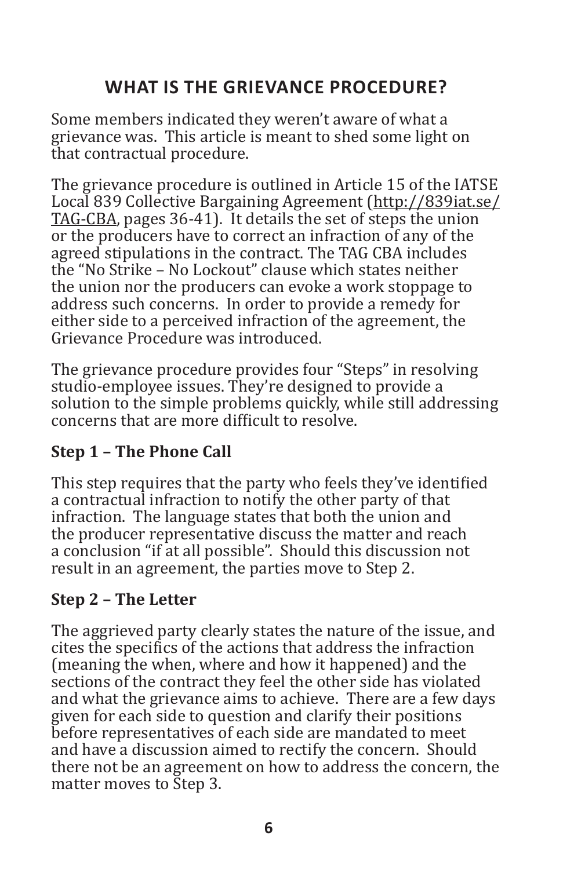#### **WHAT IS THE GRIEVANCE PROCEDURE?**

Some members indicated they weren't aware of what a grievance was. This article is meant to shed some light on that contractual procedure.

The grievance procedure is outlined in Article 15 of the IATSE Local 839 Collective Bargaining Agreement (http://839iat.se/ TAG-CBA, pages 36-41). It details the set of steps the union or the producers have to correct an infraction of any of the agreed stipulations in the contract. The TAG CBA includes the "No Strike – No Lockout" clause which states neither the union nor the producers can evoke a work stoppage to address such concerns. In order to provide a remedy for either side to a perceived infraction of the agreement, the Grievance Procedure was introduced.

The grievance procedure provides four "Steps" in resolving studio-employee issues. They're designed to provide a solution to the simple problems quickly, while still addressing concerns that are more difficult to resolve.

#### **Step 1 – The Phone Call**

This step requires that the party who feels they've identified a contractual infraction to notify the other party of that infraction. The language states that both the union and the producer representative discuss the matter and reach a conclusion "if at all possible". Should this discussion not result in an agreement, the parties move to Step 2.

#### **Step 2 – The Letter**

The aggrieved party clearly states the nature of the issue, and cites the specifics of the actions that address the infraction (meaning the when, where and how it happened) and the sections of the contract they feel the other side has violated and what the grievance aims to achieve. There are a few days given for each side to question and clarify their positions before representatives of each side are mandated to meet and have a discussion aimed to rectify the concern. Should there not be an agreement on how to address the concern, the matter moves to Step 3.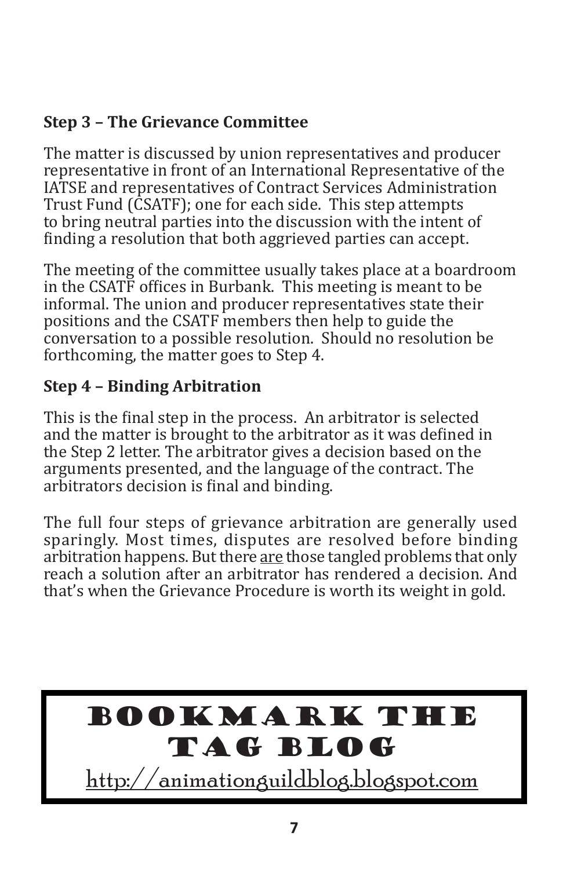#### **Step 3 – The Grievance Committee**

The matter is discussed by union representatives and producer representative in front of an International Representative of the IATSE and representatives of Contract Services Administration Trust Fund (CSATF); one for each side. This step attempts to bring neutral parties into the discussion with the intent of finding a resolution that both aggrieved parties can accept.

The meeting of the committee usually takes place at a boardroom in the CSATF offices in Burbank. This meeting is meant to be informal. The union and producer representatives state their positions and the CSATF members then help to guide the conversation to a possible resolution. Should no resolution be forthcoming, the matter goes to Step 4.

#### **Step 4 – Binding Arbitration**

This is the final step in the process. An arbitrator is selected and the matter is brought to the arbitrator as it was defined in the Step 2 letter. The arbitrator gives a decision based on the arguments presented, and the language of the contract. The arbitrators decision is final and binding.

The full four steps of grievance arbitration are generally used sparingly. Most times, disputes are resolved before binding arbitration happens. But there are those tangled problems that only reach a solution after an arbitrator has rendered a decision. And that's when the Grievance Procedure is worth its weight in gold.

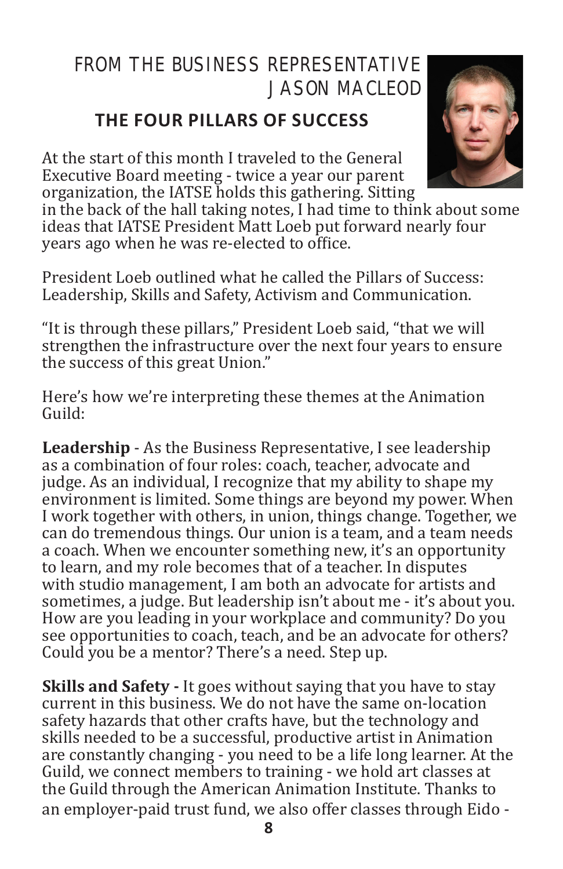### FROM THE BUSINESS REPRESENTATIVE JASON MACLEOD

#### **THE FOUR PILLARS OF SUCCESS**

At the start of this month I traveled to the General Executive Board meeting - twice a year our parent organization, the IATSE holds this gathering. Sitting

in the back of the hall taking notes, I had time to think about some ideas that IATSE President Matt Loeb put forward nearly four years ago when he was re-elected to office.

President Loeb outlined what he called the Pillars of Success: Leadership, Skills and Safety, Activism and Communication.

"It is through these pillars," President Loeb said, "that we will strengthen the infrastructure over the next four years to ensure the success of this great Union."

Here's how we're interpreting these themes at the Animation Guild:

**Leadership** - As the Business Representative, I see leadership as a combination of four roles: coach, teacher, advocate and judge. As an individual, I recognize that my ability to shape my environment is limited. Some things are beyond my power. When I work together with others, in union, things change. Together, we can do tremendous things. Our union is a team, and a team needs a coach. When we encounter something new, it's an opportunity to learn, and my role becomes that of a teacher. In disputes with studio management, I am both an advocate for artists and sometimes, a judge. But leadership isn't about me - it's about you. How are you leading in your workplace and community? Do you see opportunities to coach, teach, and be an advocate for others? Could you be a mentor? There's a need. Step up.

**Skills and Safety -** It goes without saying that you have to stay current in this business. We do not have the same on-location safety hazards that other crafts have, but the technology and skills needed to be a successful, productive artist in Animation are constantly changing - you need to be a life long learner. At the Guild, we connect members to training - we hold art classes at the Guild through the American Animation Institute. Thanks to an employer-paid trust fund, we also offer classes through Eido -

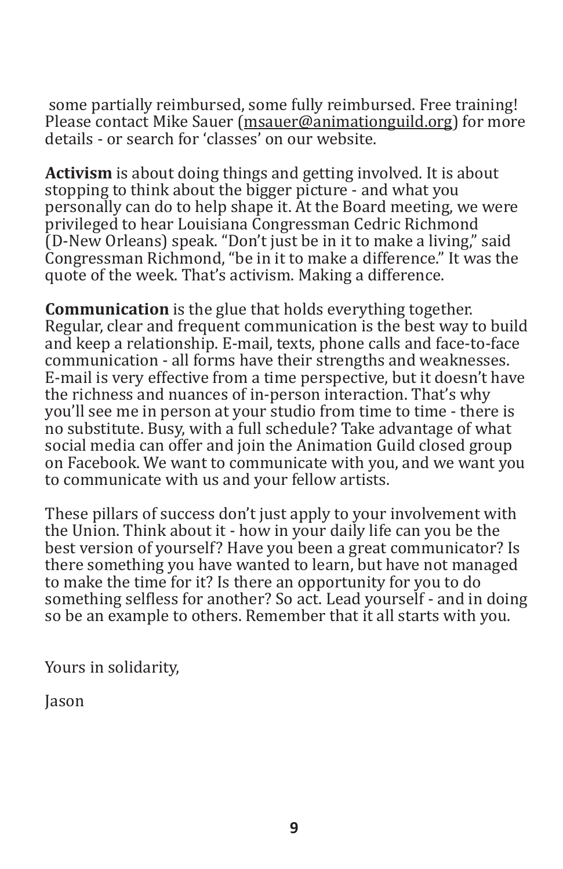some partially reimbursed, some fully reimbursed. Free training! Please contact Mike Sauer (msauer@animationguild.org) for more details - or search for 'classes' on our website.

**Activism** is about doing things and getting involved. It is about stopping to think about the bigger picture - and what you personally can do to help shape it. At the Board meeting, we were privileged to hear Louisiana Congressman Cedric Richmond (D-New Orleans) speak. "Don't just be in it to make a living," said Congressman Richmond, "be in it to make a difference." It was the quote of the week. That's activism. Making a difference.

**Communication** is the glue that holds everything together. Regular, clear and frequent communication is the best way to build and keep a relationship. E-mail, texts, phone calls and face-to-face communication - all forms have their strengths and weaknesses. E-mail is very effective from a time perspective, but it doesn't have the richness and nuances of in-person interaction. That's why you'll see me in person at your studio from time to time - there is no substitute. Busy, with a full schedule? Take advantage of what social media can offer and join the Animation Guild closed group on Facebook. We want to communicate with you, and we want you to communicate with us and your fellow artists.

These pillars of success don't just apply to your involvement with the Union. Think about it - how in your daily life can you be the best version of yourself? Have you been a great communicator? Is there something you have wanted to learn, but have not managed to make the time for it? Is there an opportunity for you to do something selfless for another? So act. Lead yourself - and in doing so be an example to others. Remember that it all starts with you.

Yours in solidarity,

Jason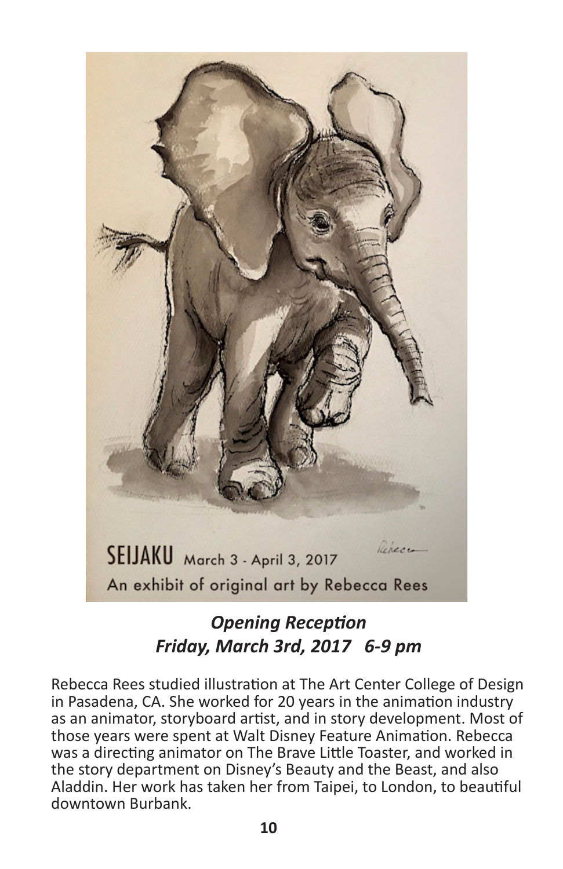

#### *Opening Reception Friday, March 3rd, 2017 6-9 pm*

Rebecca Rees studied illustration at The Art Center College of Design in Pasadena, CA. She worked for 20 years in the animation industry as an animator, storyboard artist, and in story development. Most of those years were spent at Walt Disney Feature Animation. Rebecca was a directing animator on The Brave Little Toaster, and worked in the story department on Disney's Beauty and the Beast, and also Aladdin. Her work has taken her from Taipei, to London, to beautiful downtown Burbank.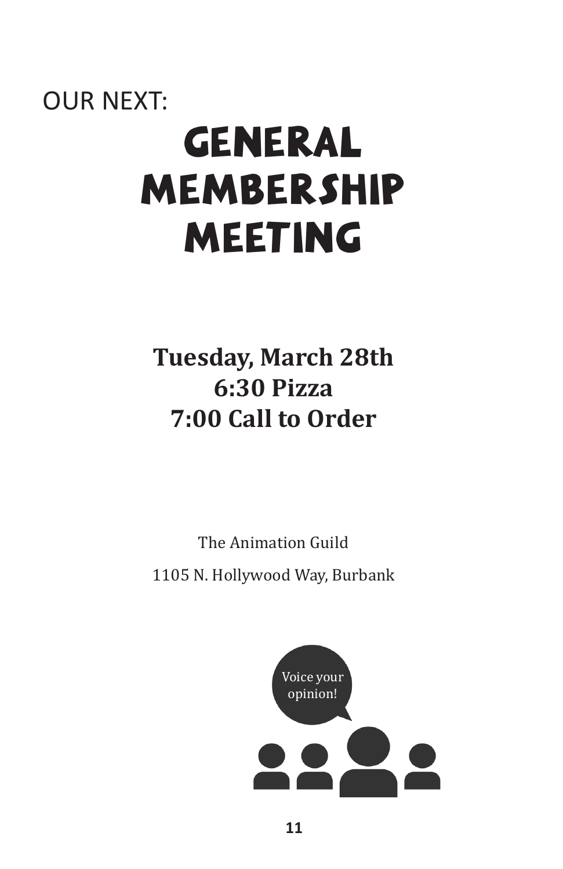# OUR NEXT: GENERAL MEMBERSHIP MEETING

# **Tuesday, March 28th 6:30 Pizza 7:00 Call to Order**

The Animation Guild 1105 N. Hollywood Way, Burbank